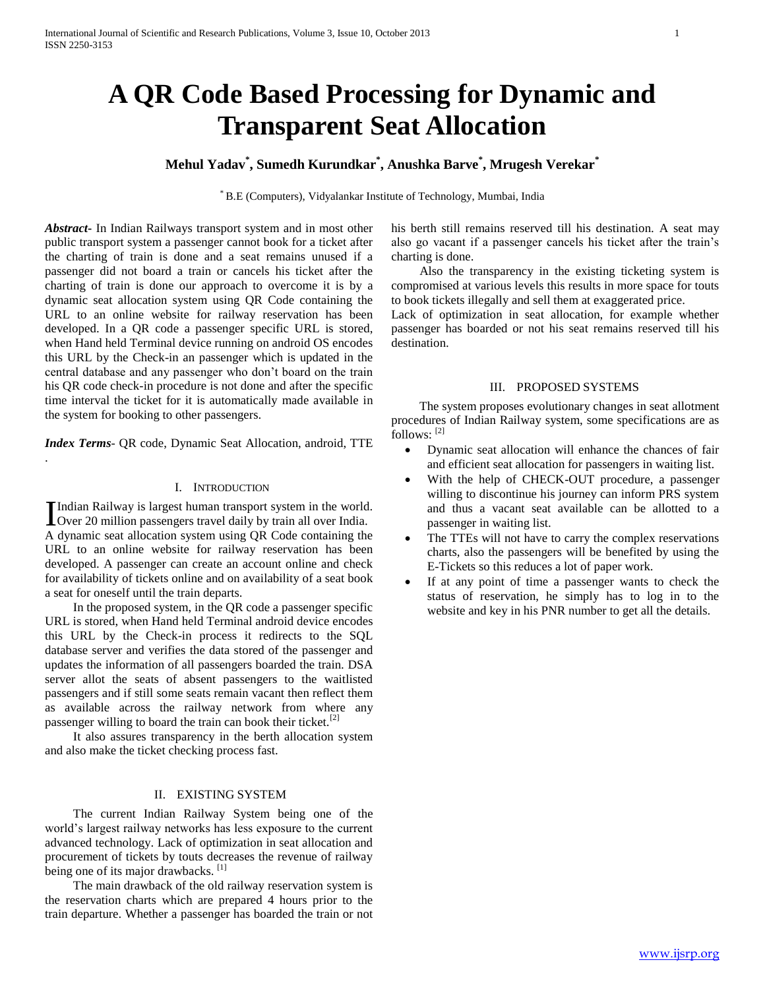# **A QR Code Based Processing for Dynamic and Transparent Seat Allocation**

## **Mehul Yadav\* , Sumedh Kurundkar\* , Anushka Barve\* , Mrugesh Verekar\***

\* B.E (Computers), Vidyalankar Institute of Technology, Mumbai, India

*Abstract***-** In Indian Railways transport system and in most other public transport system a passenger cannot book for a ticket after the charting of train is done and a seat remains unused if a passenger did not board a train or cancels his ticket after the charting of train is done our approach to overcome it is by a dynamic seat allocation system using QR Code containing the URL to an online website for railway reservation has been developed. In a QR code a passenger specific URL is stored, when Hand held Terminal device running on android OS encodes this URL by the Check-in an passenger which is updated in the central database and any passenger who don't board on the train his QR code check-in procedure is not done and after the specific time interval the ticket for it is automatically made available in the system for booking to other passengers.

*Index Terms*- QR code, Dynamic Seat Allocation, android, TTE

.

### I. INTRODUCTION

Indian Railway is largest human transport system in the world. Indian Railway is largest human transport system in the world.<br>Over 20 million passengers travel daily by train all over India. A dynamic seat allocation system using QR Code containing the URL to an online website for railway reservation has been developed. A passenger can create an account online and check for availability of tickets online and on availability of a seat book a seat for oneself until the train departs.

 In the proposed system, in the QR code a passenger specific URL is stored, when Hand held Terminal android device encodes this URL by the Check-in process it redirects to the SQL database server and verifies the data stored of the passenger and updates the information of all passengers boarded the train. DSA server allot the seats of absent passengers to the waitlisted passengers and if still some seats remain vacant then reflect them as available across the railway network from where any passenger willing to board the train can book their ticket.<sup>[2]</sup>

 It also assures transparency in the berth allocation system and also make the ticket checking process fast.

#### II. EXISTING SYSTEM

 The current Indian Railway System being one of the world's largest railway networks has less exposure to the current advanced technology. Lack of optimization in seat allocation and procurement of tickets by touts decreases the revenue of railway being one of its major drawbacks. [1]

 The main drawback of the old railway reservation system is the reservation charts which are prepared 4 hours prior to the train departure. Whether a passenger has boarded the train or not his berth still remains reserved till his destination. A seat may also go vacant if a passenger cancels his ticket after the train's charting is done.

 Also the transparency in the existing ticketing system is compromised at various levels this results in more space for touts to book tickets illegally and sell them at exaggerated price.

Lack of optimization in seat allocation, for example whether passenger has boarded or not his seat remains reserved till his destination.

## III. PROPOSED SYSTEMS

 The system proposes evolutionary changes in seat allotment procedures of Indian Railway system, some specifications are as follows: [2]

- Dynamic seat allocation will enhance the chances of fair and efficient seat allocation for passengers in waiting list.
- With the help of CHECK-OUT procedure, a passenger willing to discontinue his journey can inform PRS system and thus a vacant seat available can be allotted to a passenger in waiting list.
- The TTEs will not have to carry the complex reservations charts, also the passengers will be benefited by using the E-Tickets so this reduces a lot of paper work.
- If at any point of time a passenger wants to check the status of reservation, he simply has to log in to the website and key in his PNR number to get all the details.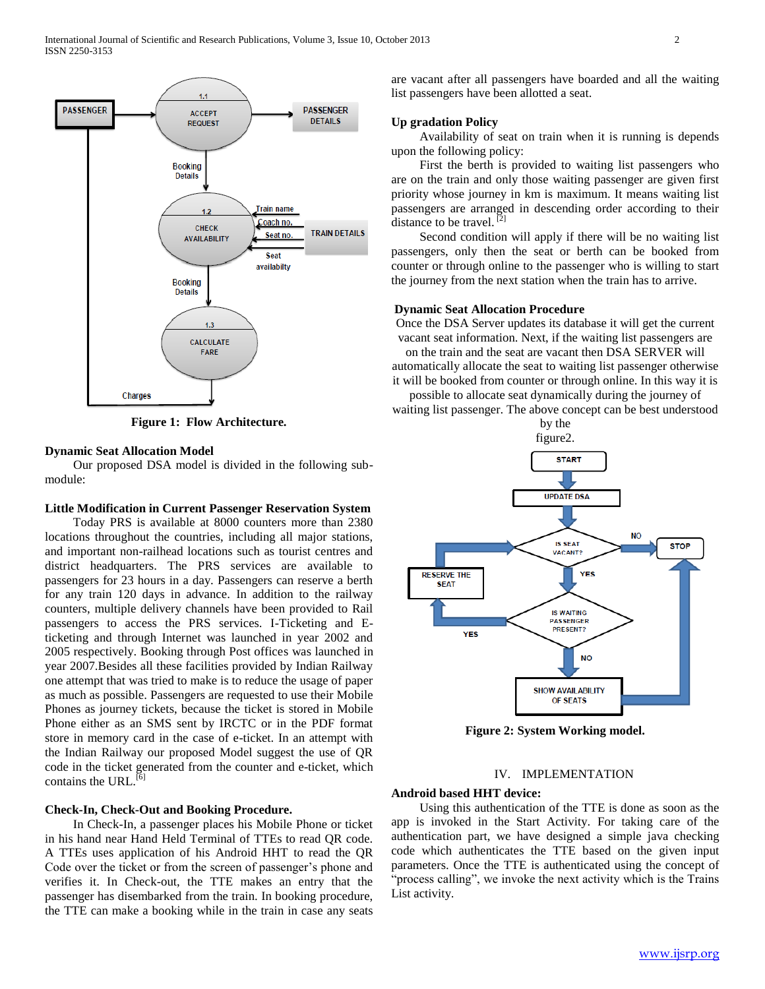

**Figure 1: Flow Architecture.**

#### **Dynamic Seat Allocation Model**

 Our proposed DSA model is divided in the following submodule:

## **Little Modification in Current Passenger Reservation System**

 Today PRS is available at 8000 counters more than 2380 locations throughout the countries, including all major stations, and important non-railhead locations such as tourist centres and district headquarters. The PRS services are available to passengers for 23 hours in a day. Passengers can reserve a berth for any train 120 days in advance. In addition to the railway counters, multiple delivery channels have been provided to Rail passengers to access the PRS services. I-Ticketing and Eticketing and through Internet was launched in year 2002 and 2005 respectively. Booking through Post offices was launched in year 2007.Besides all these facilities provided by Indian Railway one attempt that was tried to make is to reduce the usage of paper as much as possible. Passengers are requested to use their Mobile Phones as journey tickets, because the ticket is stored in Mobile Phone either as an SMS sent by IRCTC or in the PDF format store in memory card in the case of e-ticket. In an attempt with the Indian Railway our proposed Model suggest the use of QR code in the ticket generated from the counter and e-ticket, which contains the URL. $^{[6]}$ 

#### **Check-In, Check-Out and Booking Procedure.**

 In Check-In, a passenger places his Mobile Phone or ticket in his hand near Hand Held Terminal of TTEs to read QR code. A TTEs uses application of his Android HHT to read the QR Code over the ticket or from the screen of passenger's phone and verifies it. In Check-out, the TTE makes an entry that the passenger has disembarked from the train. In booking procedure, the TTE can make a booking while in the train in case any seats

are vacant after all passengers have boarded and all the waiting list passengers have been allotted a seat.

#### **Up gradation Policy**

 Availability of seat on train when it is running is depends upon the following policy:

 First the berth is provided to waiting list passengers who are on the train and only those waiting passenger are given first priority whose journey in km is maximum. It means waiting list passengers are arranged in descending order according to their distance to be travel.<sup>[2]</sup>

 Second condition will apply if there will be no waiting list passengers, only then the seat or berth can be booked from counter or through online to the passenger who is willing to start the journey from the next station when the train has to arrive.

#### **Dynamic Seat Allocation Procedure**

Once the DSA Server updates its database it will get the current vacant seat information. Next, if the waiting list passengers are on the train and the seat are vacant then DSA SERVER will automatically allocate the seat to waiting list passenger otherwise

it will be booked from counter or through online. In this way it is possible to allocate seat dynamically during the journey of

waiting list passenger. The above concept can be best understood by the



**Figure 2: System Working model.**

#### IV. IMPLEMENTATION

#### **Android based HHT device:**

 Using this authentication of the TTE is done as soon as the app is invoked in the Start Activity. For taking care of the authentication part, we have designed a simple java checking code which authenticates the TTE based on the given input parameters. Once the TTE is authenticated using the concept of "process calling", we invoke the next activity which is the Trains List activity.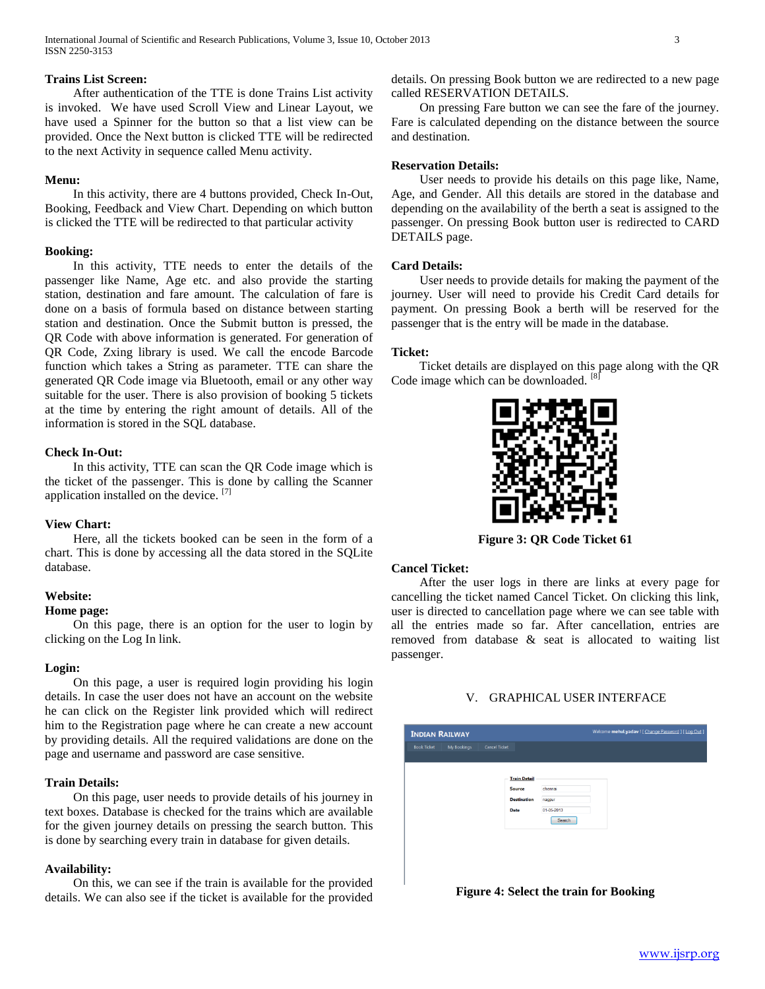International Journal of Scientific and Research Publications, Volume 3, Issue 10, October 2013 3 ISSN 2250-3153

## **Trains List Screen:**

 After authentication of the TTE is done Trains List activity is invoked. We have used Scroll View and Linear Layout, we have used a Spinner for the button so that a list view can be provided. Once the Next button is clicked TTE will be redirected to the next Activity in sequence called Menu activity.

#### **Menu:**

 In this activity, there are 4 buttons provided, Check In-Out, Booking, Feedback and View Chart. Depending on which button is clicked the TTE will be redirected to that particular activity

#### **Booking:**

 In this activity, TTE needs to enter the details of the passenger like Name, Age etc. and also provide the starting station, destination and fare amount. The calculation of fare is done on a basis of formula based on distance between starting station and destination. Once the Submit button is pressed, the QR Code with above information is generated. For generation of QR Code, Zxing library is used. We call the encode Barcode function which takes a String as parameter. TTE can share the generated QR Code image via Bluetooth, email or any other way suitable for the user. There is also provision of booking 5 tickets at the time by entering the right amount of details. All of the information is stored in the SQL database.

## **Check In-Out:**

 In this activity, TTE can scan the QR Code image which is the ticket of the passenger. This is done by calling the Scanner application installed on the device. [7]

#### **View Chart:**

 Here, all the tickets booked can be seen in the form of a chart. This is done by accessing all the data stored in the SQLite database.

#### **Website:**

## **Home page:**

 On this page, there is an option for the user to login by clicking on the Log In link.

#### **Login:**

 On this page, a user is required login providing his login details. In case the user does not have an account on the website he can click on the Register link provided which will redirect him to the Registration page where he can create a new account by providing details. All the required validations are done on the page and username and password are case sensitive.

## **Train Details:**

 On this page, user needs to provide details of his journey in text boxes. Database is checked for the trains which are available for the given journey details on pressing the search button. This is done by searching every train in database for given details.

#### **Availability:**

 On this, we can see if the train is available for the provided details. We can also see if the ticket is available for the provided details. On pressing Book button we are redirected to a new page called RESERVATION DETAILS.

 On pressing Fare button we can see the fare of the journey. Fare is calculated depending on the distance between the source and destination.

## **Reservation Details:**

 User needs to provide his details on this page like, Name, Age, and Gender. All this details are stored in the database and depending on the availability of the berth a seat is assigned to the passenger. On pressing Book button user is redirected to CARD DETAILS page.

#### **Card Details:**

 User needs to provide details for making the payment of the journey. User will need to provide his Credit Card details for payment. On pressing Book a berth will be reserved for the passenger that is the entry will be made in the database.

#### **Ticket:**

 Ticket details are displayed on this page along with the QR Code image which can be downloaded. <sup>[8]</sup>



**Figure 3: QR Code Ticket 61**

#### **Cancel Ticket:**

 After the user logs in there are links at every page for cancelling the ticket named Cancel Ticket. On clicking this link, user is directed to cancellation page where we can see table with all the entries made so far. After cancellation, entries are removed from database & seat is allocated to waiting list passenger.

## V. GRAPHICAL USER INTERFACE



**Figure 4: Select the train for Booking**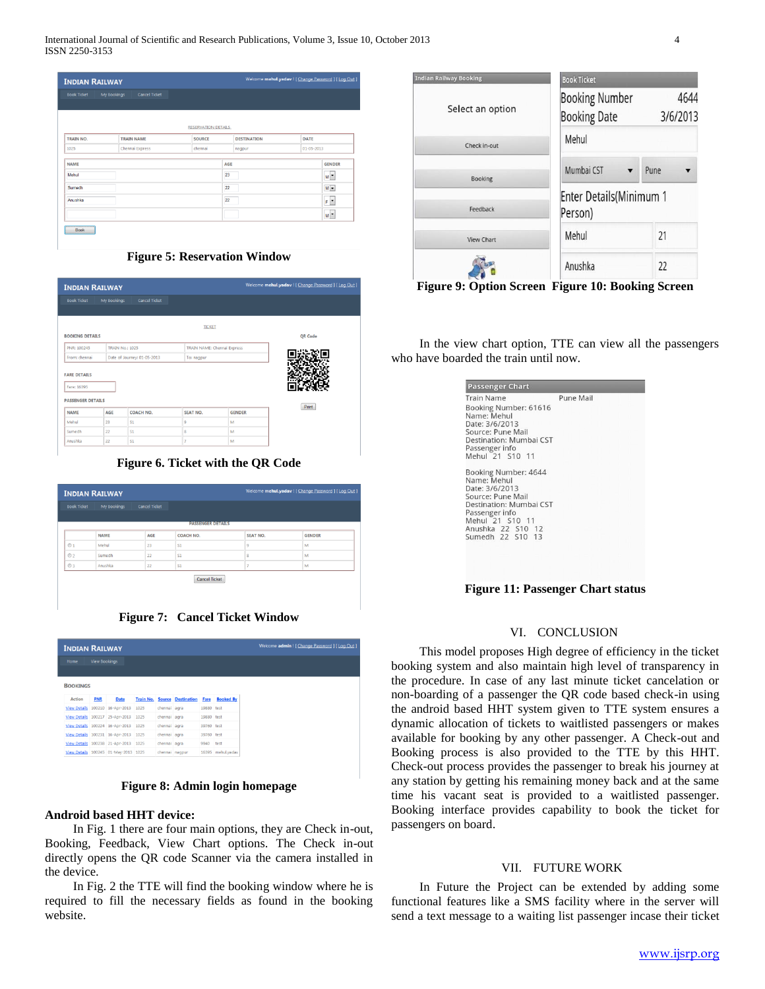| <b>INDIAN RAILWAY</b> |                                     |                            |                    |                  |
|-----------------------|-------------------------------------|----------------------------|--------------------|------------------|
| <b>Book Ticket</b>    | My Bookings<br><b>Cancel Ticket</b> |                            |                    |                  |
|                       |                                     |                            |                    |                  |
|                       |                                     |                            |                    |                  |
|                       |                                     | <b>RESERVATION DETAILS</b> |                    |                  |
| TRAIN NO.             | <b>TRAIN NAME</b>                   | <b>SOURCE</b>              | <b>DESTINATION</b> | DATE             |
| 1025                  | Chennai Express                     | chennai                    | nagpur             | $01 - 05 - 2013$ |
| <b>NAME</b>           |                                     | AGE                        |                    | <b>GENDER</b>    |
| Mehul                 |                                     | 23                         |                    | $M^{\bullet}$    |
| Sumedh                |                                     | 22                         |                    | $M =$            |
| Anushka               |                                     | 22                         |                    | $F$ <sup>*</sup> |
|                       |                                     |                            |                    | M <sup>*</sup>   |

**Figure 5: Reservation Window**

| <b>INDIAN RAILWAY</b>                                          |                        |                      |                             |               | Welcome mehul.yadav   [ Change Password ] [ Log Out ] |
|----------------------------------------------------------------|------------------------|----------------------|-----------------------------|---------------|-------------------------------------------------------|
| <b>Book Ticket</b>                                             | My Bookings            | <b>Cancel Ticket</b> |                             |               |                                                       |
|                                                                |                        |                      |                             |               |                                                       |
|                                                                |                        |                      | <b>TICKET</b>               |               |                                                       |
| <b>BOOKING DETAILS</b>                                         |                        |                      |                             |               | QR Code                                               |
| <b>PNR: 100245</b>                                             | <b>TRAIN No.: 1025</b> |                      | TRAIN NAME: Chennai Express |               |                                                       |
| From: chennai<br>Date of Journey: 01-05-2013                   |                        |                      | To: nagpur                  |               |                                                       |
| <b>FARE DETAILS</b><br>Fare: 16395<br><b>PASSENGER DETAILS</b> |                        |                      |                             |               | Print                                                 |
| <b>NAME</b>                                                    | AGE                    | COACH NO.            | <b>SEAT NO.</b>             | <b>GENDER</b> |                                                       |
|                                                                | 23                     | S1                   | 9                           | M             |                                                       |
| Mehul                                                          |                        |                      |                             |               |                                                       |
| Sumedh                                                         | 22                     | S1                   | 8                           | M             |                                                       |

**Figure 6. Ticket with the QR Code**

| Welcome mehul.yadav ! [ Change Password ] [ Log Out ]<br><b>INDIAN RAILWAY</b> |             |                      |                          |          |               |  |
|--------------------------------------------------------------------------------|-------------|----------------------|--------------------------|----------|---------------|--|
| <b>Book Ticket</b>                                                             | My Bookings | <b>Cancel Ticket</b> |                          |          |               |  |
|                                                                                |             |                      | <b>PASSENGER DETAILS</b> |          |               |  |
|                                                                                | <b>NAME</b> | AGE                  | COACH NO.                | SEAT NO. | <b>GENDER</b> |  |
| $01$                                                                           | Mehul       | 23                   | S1                       | 9        | M             |  |
| O <sub>2</sub>                                                                 | Sumedh      | 22                   | S1                       | 8        | M             |  |
| $03$                                                                           | Anushka     | 22                   | S1                       | $\sim$   | M             |  |
|                                                                                |             |                      | <b>Cancel Ticket</b>     |          |               |  |

**Figure 7: Cancel Ticket Window**

| <b>INDIAN RAILWAY</b> |                      |                                      |      |              |                                     |            |                   |
|-----------------------|----------------------|--------------------------------------|------|--------------|-------------------------------------|------------|-------------------|
| Home                  | <b>View Bookings</b> |                                      |      |              |                                     |            |                   |
| <b>BOOKINGS</b>       |                      |                                      |      |              |                                     |            |                   |
| Action                | <b>PNR</b>           | Date                                 |      |              | <b>Train No. Source Destination</b> | Fare       | <b>Booked By</b>  |
|                       |                      | View Details 100210 16-Apr-2013 1025 |      | chennai agra |                                     | 19880 test |                   |
|                       |                      | View Details 100217 25-Apr-2013 1025 |      | chennai agra |                                     | 19880 test |                   |
|                       |                      | View Details 100224 16-Apr-2013 1025 |      | chennai agra |                                     | 39760 test |                   |
|                       |                      | View Details 100231 16-Apr-2013 1025 |      | chennai agra |                                     | 39760 test |                   |
|                       |                      | View Details 100238 21-Apr-2013      | 1025 | chennai agra |                                     | 9940       | test              |
|                       |                      | View Details 100245 01-May-2013 1025 |      |              | chennai nagpur                      |            | 16395 mehul.yadav |

**Figure 8: Admin login homepage**

#### **Android based HHT device:**

 In Fig. 1 there are four main options, they are Check in-out, Booking, Feedback, View Chart options. The Check in-out directly opens the QR code Scanner via the camera installed in the device.

 In Fig. 2 the TTE will find the booking window where he is required to fill the necessary fields as found in the booking website.

| <b>Indian Railway Booking</b>   | <b>Book Ticket</b>                           |                  |
|---------------------------------|----------------------------------------------|------------------|
| Select an option                | <b>Booking Number</b><br><b>Booking Date</b> | 4644<br>3/6/2013 |
| Check in-out                    | Mehul                                        |                  |
| <b>Booking</b>                  | Mumbai CST                                   | Pune             |
| Feedback                        | <b>Enter Details</b> (Minimum 1<br>Person)   |                  |
| <b>View Chart</b>               | Mehul                                        | 21               |
|                                 | Anushka                                      | 22               |
| $\Gamma$ ianna Ar Antian Canaan | $E_{\text{current}}$ $10.$ Declina Concord   |                  |

**Figure 9: Option Screen Figure 10: Booking Screen**

 In the view chart option, TTE can view all the passengers who have boarded the train until now.

| Booking Number: 61616<br>Name: Mehul<br>Date: 3/6/2013<br>Source: Pune Mail |  |
|-----------------------------------------------------------------------------|--|
|                                                                             |  |
|                                                                             |  |
|                                                                             |  |
| Destination: Mumbai CST                                                     |  |
| Passenger info                                                              |  |
| Mehul 21 S10 11                                                             |  |
|                                                                             |  |
| Booking Number: 4644<br>Name: Mehul                                         |  |
| Date: 3/6/2013                                                              |  |
| Source: Pune Mail                                                           |  |
| Destination: Mumbai CST                                                     |  |
| Passenger info                                                              |  |
| Mehul 21 S10 11<br>Anushka 22 S10 12                                        |  |
| Sumedh 22 S10 13                                                            |  |

**Figure 11: Passenger Chart status**

## VI. CONCLUSION

 This model proposes High degree of efficiency in the ticket booking system and also maintain high level of transparency in the procedure. In case of any last minute ticket cancelation or non-boarding of a passenger the QR code based check-in using the android based HHT system given to TTE system ensures a dynamic allocation of tickets to waitlisted passengers or makes available for booking by any other passenger. A Check-out and Booking process is also provided to the TTE by this HHT. Check-out process provides the passenger to break his journey at any station by getting his remaining money back and at the same time his vacant seat is provided to a waitlisted passenger. Booking interface provides capability to book the ticket for passengers on board.

#### VII. FUTURE WORK

 In Future the Project can be extended by adding some functional features like a SMS facility where in the server will send a text message to a waiting list passenger incase their ticket